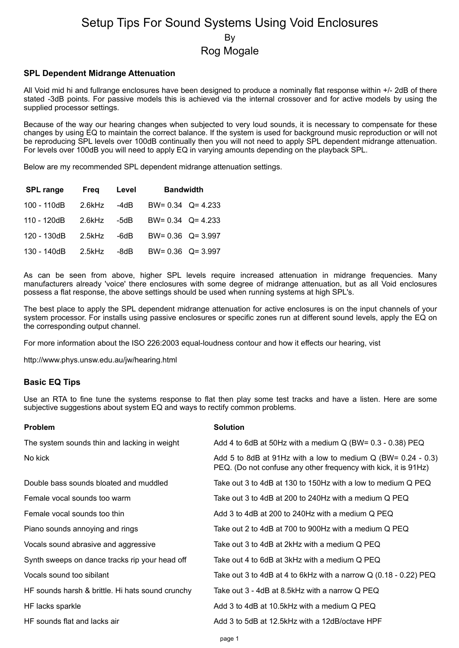# Setup Tips For Sound Systems Using Void Enclosures By Rog Mogale

### **SPL Dependent Midrange Attenuation**

All Void mid hi and fullrange enclosures have been designed to produce a nominally flat response within +/- 2dB of there stated -3dB points. For passive models this is achieved via the internal crossover and for active models by using the supplied processor settings.

Because of the way our hearing changes when subjected to very loud sounds, it is necessary to compensate for these changes by using EQ to maintain the correct balance. If the system is used for background music reproduction or will not be reproducing SPL levels over 100dB continually then you will not need to apply SPL dependent midrange attenuation. For levels over 100dB you will need to apply EQ in varying amounts depending on the playback SPL.

Below are my recommended SPL dependent midrange attenuation settings.

| <b>SPL range</b> | Freg      | Level | <b>Bandwidth</b>        |  |
|------------------|-----------|-------|-------------------------|--|
| 100 - 110dB      | $2.6$ kHz | -4dB  | BW= $0.34$ Q= 4.233     |  |
| 110 - 120dB      | $2.6$ kHz | -5dB  | $BW = 0.34$ $Q = 4.233$ |  |
| 120 - 130dB      | $2.5$ kHz | -6dB  | $BW = 0.36$ $Q = 3.997$ |  |
| 130 - 140dB      | $2.5$ kHz | -8dB  | $BW = 0.36$ $Q = 3.997$ |  |

As can be seen from above, higher SPL levels require increased attenuation in midrange frequencies. Many manufacturers already 'voice' there enclosures with some degree of midrange attenuation, but as all Void enclosures possess a flat response, the above settings should be used when running systems at high SPL's.

The best place to apply the SPL dependent midrange attenuation for active enclosures is on the input channels of your system processor. For installs using passive enclosures or specific zones run at different sound levels, apply the EQ on the corresponding output channel.

For more information about the ISO 226:2003 equal-loudness contour and how it effects our hearing, vist

http://www.phys.unsw.edu.au/jw/hearing.html

### **Basic EQ Tips**

Use an RTA to fine tune the systems response to flat then play some test tracks and have a listen. Here are some subjective suggestions about system EQ and ways to rectify common problems.

| <b>Problem</b>                                   | <b>Solution</b>                                                                                                                   |  |  |
|--------------------------------------------------|-----------------------------------------------------------------------------------------------------------------------------------|--|--|
| The system sounds thin and lacking in weight     | Add 4 to 6dB at 50Hz with a medium $Q$ (BW= 0.3 - 0.38) PEQ                                                                       |  |  |
| No kick                                          | Add 5 to 8dB at 91Hz with a low to medium $Q$ (BW= 0.24 - 0.3)<br>PEQ. (Do not confuse any other frequency with kick, it is 91Hz) |  |  |
| Double bass sounds bloated and muddled           | Take out 3 to 4dB at 130 to 150Hz with a low to medium Q PEQ                                                                      |  |  |
| Female vocal sounds too warm                     | Take out 3 to 4dB at 200 to 240Hz with a medium Q PEQ                                                                             |  |  |
| Female vocal sounds too thin                     | Add 3 to 4dB at 200 to 240Hz with a medium Q PEQ                                                                                  |  |  |
| Piano sounds annoying and rings                  | Take out 2 to 4dB at 700 to 900Hz with a medium Q PEQ                                                                             |  |  |
| Vocals sound abrasive and aggressive             | Take out 3 to 4dB at 2kHz with a medium Q PEQ                                                                                     |  |  |
| Synth sweeps on dance tracks rip your head off   | Take out 4 to 6dB at 3kHz with a medium Q PEQ.                                                                                    |  |  |
| Vocals sound too sibilant                        | Take out 3 to 4dB at 4 to 6kHz with a narrow Q (0.18 - 0.22) PEQ                                                                  |  |  |
| HF sounds harsh & brittle. Hi hats sound crunchy | Take out 3 - 4dB at 8.5kHz with a narrow Q PEQ                                                                                    |  |  |
| HF lacks sparkle                                 | Add 3 to 4dB at 10.5kHz with a medium Q PEQ                                                                                       |  |  |
| HF sounds flat and lacks air                     | Add 3 to 5dB at 12.5kHz with a 12dB/octave HPF                                                                                    |  |  |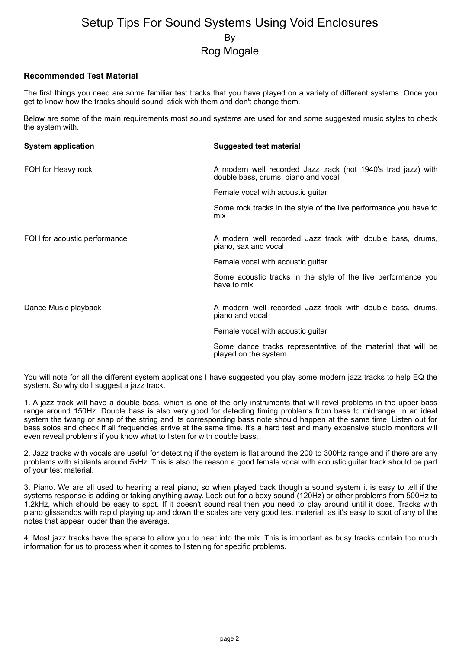## Setup Tips For Sound Systems Using Void Enclosures By Rog Mogale

### **Recommended Test Material**

The first things you need are some familiar test tracks that you have played on a variety of different systems. Once you get to know how the tracks should sound, stick with them and don't change them.

Below are some of the main requirements most sound systems are used for and some suggested music styles to check the system with.

| <b>System application</b>    | Suggested test material                                                                              |
|------------------------------|------------------------------------------------------------------------------------------------------|
| FOH for Heavy rock           | A modern well recorded Jazz track (not 1940's trad jazz) with<br>double bass, drums, piano and vocal |
|                              | Female vocal with acoustic guitar                                                                    |
|                              | Some rock tracks in the style of the live performance you have to<br>mix                             |
| FOH for acoustic performance | A modern well recorded Jazz track with double bass, drums,<br>piano, sax and vocal                   |
|                              | Female vocal with acoustic guitar                                                                    |
|                              | Some acoustic tracks in the style of the live performance you<br>have to mix                         |
| Dance Music playback         | A modern well recorded Jazz track with double bass, drums,<br>piano and vocal                        |
|                              | Female vocal with acoustic guitar                                                                    |
|                              | Some dance tracks representative of the material that will be<br>played on the system                |

You will note for all the different system applications I have suggested you play some modern jazz tracks to help EQ the system. So why do I suggest a jazz track.

1. A jazz track will have a double bass, which is one of the only instruments that will revel problems in the upper bass range around 150Hz. Double bass is also very good for detecting timing problems from bass to midrange. In an ideal system the twang or snap of the string and its corresponding bass note should happen at the same time. Listen out for bass solos and check if all frequencies arrive at the same time. It's a hard test and many expensive studio monitors will even reveal problems if you know what to listen for with double bass.

2. Jazz tracks with vocals are useful for detecting if the system is flat around the 200 to 300Hz range and if there are any problems with sibilants around 5kHz. This is also the reason a good female vocal with acoustic guitar track should be part of your test material.

3. Piano. We are all used to hearing a real piano, so when played back though a sound system it is easy to tell if the systems response is adding or taking anything away. Look out for a boxy sound (120Hz) or other problems from 500Hz to 1.2kHz, which should be easy to spot. If it doesn't sound real then you need to play around until it does. Tracks with piano glissandos with rapid playing up and down the scales are very good test material, as it's easy to spot of any of the notes that appear louder than the average.

4. Most jazz tracks have the space to allow you to hear into the mix. This is important as busy tracks contain too much information for us to process when it comes to listening for specific problems.